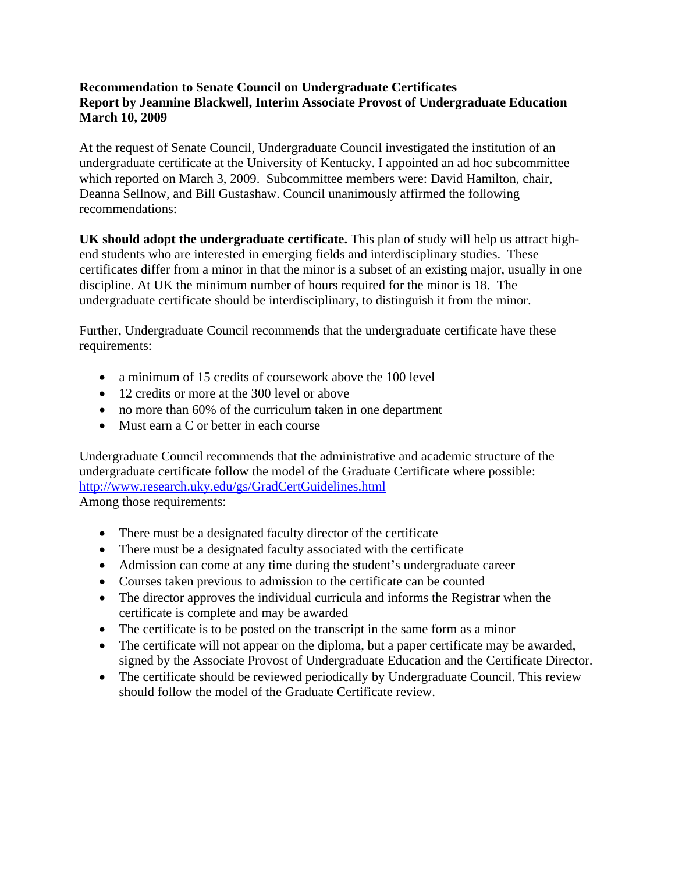## **Recommendation to Senate Council on Undergraduate Certificates Report by Jeannine Blackwell, Interim Associate Provost of Undergraduate Education March 10, 2009**

At the request of Senate Council, Undergraduate Council investigated the institution of an undergraduate certificate at the University of Kentucky. I appointed an ad hoc subcommittee which reported on March 3, 2009. Subcommittee members were: David Hamilton, chair, Deanna Sellnow, and Bill Gustashaw. Council unanimously affirmed the following recommendations:

**UK should adopt the undergraduate certificate.** This plan of study will help us attract highend students who are interested in emerging fields and interdisciplinary studies. These certificates differ from a minor in that the minor is a subset of an existing major, usually in one discipline. At UK the minimum number of hours required for the minor is 18. The undergraduate certificate should be interdisciplinary, to distinguish it from the minor.

Further, Undergraduate Council recommends that the undergraduate certificate have these requirements:

- a minimum of 15 credits of coursework above the 100 level
- 12 credits or more at the 300 level or above
- no more than 60% of the curriculum taken in one department
- Must earn a C or better in each course

Undergraduate Council recommends that the administrative and academic structure of the undergraduate certificate follow the model of the Graduate Certificate where possible: http://www.research.uky.edu/gs/GradCertGuidelines.html Among those requirements:

- There must be a designated faculty director of the certificate
- There must be a designated faculty associated with the certificate
- Admission can come at any time during the student's undergraduate career
- Courses taken previous to admission to the certificate can be counted
- The director approves the individual curricula and informs the Registrar when the certificate is complete and may be awarded
- The certificate is to be posted on the transcript in the same form as a minor
- The certificate will not appear on the diploma, but a paper certificate may be awarded, signed by the Associate Provost of Undergraduate Education and the Certificate Director.
- The certificate should be reviewed periodically by Undergraduate Council. This review should follow the model of the Graduate Certificate review.